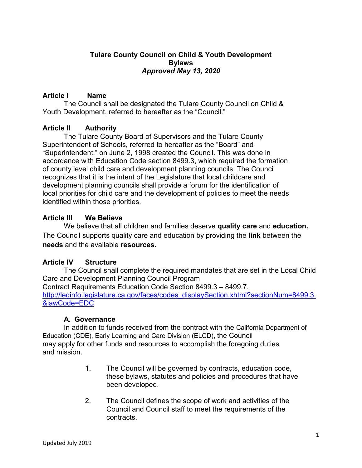## **Tulare County Council on Child & Youth Development Bylaws** *Approved May 13, 2020*

## **Article I Name**

The Council shall be designated the Tulare County Council on Child & Youth Development, referred to hereafter as the "Council."

## **Article II Authority**

The Tulare County Board of Supervisors and the Tulare County Superintendent of Schools, referred to hereafter as the "Board" and "Superintendent," on June 2, 1998 created the Council. This was done in accordance with Education Code section 8499.3, which required the formation of county level child care and development planning councils. The Council recognizes that it is the intent of the Legislature that local childcare and development planning councils shall provide a forum for the identification of local priorities for child care and the development of policies to meet the needs identified within those priorities.

# **Article III We Believe**

We believe that all children and families deserve **quality care** and **education.**  The Council supports quality care and education by providing the **link** between the **needs** and the available **resources.**

# **Article IV Structure**

The Council shall complete the required mandates that are set in the Local Child Care and Development Planning Council Program Contract Requirements Education Code Section 8499.3 – 8499.7. [http://leginfo.legislature.ca.gov/faces/codes\\_displaySection.xhtml?sectionNum=8499.3.](http://leginfo.legislature.ca.gov/faces/codes_displaySection.xhtml?sectionNum=8499.3.&lawCode=EDC) [&lawCode=EDC](http://leginfo.legislature.ca.gov/faces/codes_displaySection.xhtml?sectionNum=8499.3.&lawCode=EDC)

# **A. Governance**

In addition to funds received from the contract with the California Department of Education (CDE), Early Learning and Care Division (ELCD), the Council may apply for other funds and resources to accomplish the foregoing duties and mission.

- 1. The Council will be governed by contracts, education code, these bylaws, statutes and policies and procedures that have been developed.
- 2. The Council defines the scope of work and activities of the Council and Council staff to meet the requirements of the contracts.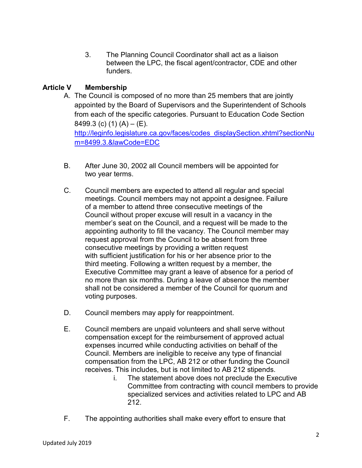3. The Planning Council Coordinator shall act as a liaison between the LPC, the fiscal agent/contractor, CDE and other funders.

# **Article V Membership**

- A. The Council is composed of no more than 25 members that are jointly appointed by the Board of Supervisors and the Superintendent of Schools from each of the specific categories. Pursuant to Education Code Section 8499.3 (c) (1) (A)  $-$  (E). [http://leginfo.legislature.ca.gov/faces/codes\\_displaySection.xhtml?sectionNu](http://leginfo.legislature.ca.gov/faces/codes_displaySection.xhtml?sectionNum=8499.3.&lawCode=EDC) [m=8499.3.&lawCode=EDC](http://leginfo.legislature.ca.gov/faces/codes_displaySection.xhtml?sectionNum=8499.3.&lawCode=EDC)
- B. After June 30, 2002 all Council members will be appointed for two year terms.
- C. Council members are expected to attend all regular and special meetings. Council members may not appoint a designee. Failure of a member to attend three consecutive meetings of the Council without proper excuse will result in a vacancy in the member's seat on the Council, and a request will be made to the appointing authority to fill the vacancy. The Council member may request approval from the Council to be absent from three consecutive meetings by providing a written request with sufficient justification for his or her absence prior to the third meeting. Following a written request by a member, the Executive Committee may grant a leave of absence for a period of no more than six months. During a leave of absence the member shall not be considered a member of the Council for quorum and voting purposes.
- D. Council members may apply for reappointment.
- E. Council members are unpaid volunteers and shall serve without compensation except for the reimbursement of approved actual expenses incurred while conducting activities on behalf of the Council. Members are ineligible to receive any type of financial compensation from the LPC, AB 212 or other funding the Council receives. This includes, but is not limited to AB 212 stipends.
	- i. The statement above does not preclude the Executive Committee from contracting with council members to provide specialized services and activities related to LPC and AB 212.
- F. The appointing authorities shall make every effort to ensure that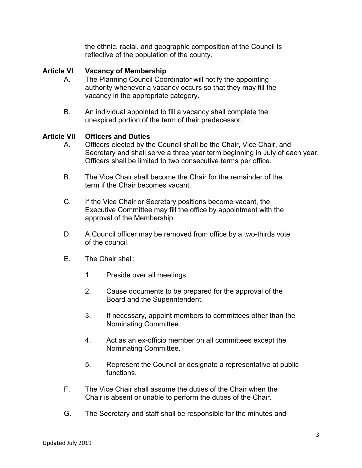the ethnic, racial, and geographic composition of the Council is reflective of the population of the county.

## **Article VI Vacancy of Membership**

- A. The Planning Council Coordinator will notify the appointing authority whenever a vacancy occurs so that they may fill the vacancy in the appropriate category.
- B. An individual appointed to fill a vacancy shall complete the unexpired portion of the term of their predecessor.

#### **Article VII Officers and Duties**

- A. Officers elected by the Council shall be the Chair, Vice Chair, and Secretary and shall serve a three year term beginning in July of each year. Officers shall be limited to two consecutive terms per office.
- B. The Vice Chair shall become the Chair for the remainder of the term if the Chair becomes vacant.
- C. If the Vice Chair or Secretary positions become vacant, the Executive Committee may fill the office by appointment with the approval of the Membership.
- D. A Council officer may be removed from office by a two-thirds vote of the council.
- E. The Chair shall:
	- 1. Preside over all meetings.
	- 2. Cause documents to be prepared for the approval of the Board and the Superintendent.
	- 3. If necessary, appoint members to committees other than the Nominating Committee.
	- 4. Act as an ex-officio member on all committees except the Nominating Committee.
	- 5. Represent the Council or designate a representative at public functions.
- F. The Vice Chair shall assume the duties of the Chair when the Chair is absent or unable to perform the duties of the Chair.
- G. The Secretary and staff shall be responsible for the minutes and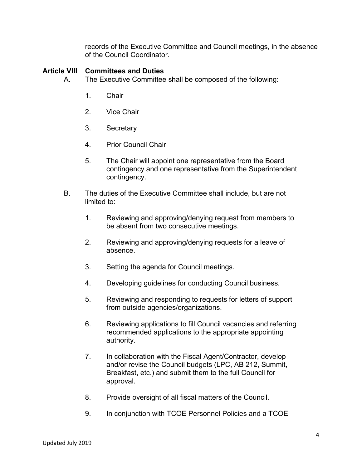records of the Executive Committee and Council meetings, in the absence of the Council Coordinator.

#### **Article VIII Committees and Duties**

- A. The Executive Committee shall be composed of the following:
	- 1. Chair
	- 2. Vice Chair
	- 3. Secretary
	- 4. Prior Council Chair
	- 5. The Chair will appoint one representative from the Board contingency and one representative from the Superintendent contingency.
	- B. The duties of the Executive Committee shall include, but are not limited to:
		- 1. Reviewing and approving/denying request from members to be absent from two consecutive meetings.
		- 2. Reviewing and approving/denying requests for a leave of absence.
		- 3. Setting the agenda for Council meetings.
		- 4. Developing guidelines for conducting Council business.
		- 5. Reviewing and responding to requests for letters of support from outside agencies/organizations.
		- 6. Reviewing applications to fill Council vacancies and referring recommended applications to the appropriate appointing authority.
		- 7. In collaboration with the Fiscal Agent/Contractor, develop and/or revise the Council budgets (LPC, AB 212, Summit, Breakfast, etc.) and submit them to the full Council for approval.
		- 8. Provide oversight of all fiscal matters of the Council.
		- 9. In conjunction with TCOE Personnel Policies and a TCOE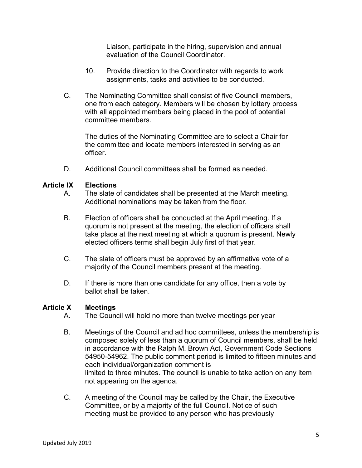Liaison, participate in the hiring, supervision and annual evaluation of the Council Coordinator.

- 10. Provide direction to the Coordinator with regards to work assignments, tasks and activities to be conducted.
- C. The Nominating Committee shall consist of five Council members, one from each category. Members will be chosen by lottery process with all appointed members being placed in the pool of potential committee members.

The duties of the Nominating Committee are to select a Chair for the committee and locate members interested in serving as an officer.

D. Additional Council committees shall be formed as needed.

#### **Article IX Elections**

- A. The slate of candidates shall be presented at the March meeting. Additional nominations may be taken from the floor.
- B. Election of officers shall be conducted at the April meeting. If a quorum is not present at the meeting, the election of officers shall take place at the next meeting at which a quorum is present. Newly elected officers terms shall begin July first of that year.
- C. The slate of officers must be approved by an affirmative vote of a majority of the Council members present at the meeting.
- D. If there is more than one candidate for any office, then a vote by ballot shall be taken.

#### **Article X Meetings**

- A. The Council will hold no more than twelve meetings per year
- B. Meetings of the Council and ad hoc committees, unless the membership is composed solely of less than a quorum of Council members, shall be held in accordance with the Ralph M. Brown Act, Government Code Sections 54950-54962. The public comment period is limited to fifteen minutes and each individual/organization comment is limited to three minutes. The council is unable to take action on any item not appearing on the agenda.
- C. A meeting of the Council may be called by the Chair, the Executive Committee, or by a majority of the full Council. Notice of such meeting must be provided to any person who has previously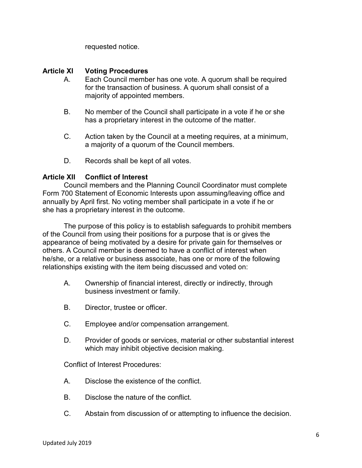requested notice.

## **Article XI Voting Procedures**

- A. Each Council member has one vote. A quorum shall be required for the transaction of business. A quorum shall consist of a majority of appointed members.
- B. No member of the Council shall participate in a vote if he or she has a proprietary interest in the outcome of the matter.
- C. Action taken by the Council at a meeting requires, at a minimum, a majority of a quorum of the Council members.
- D. Records shall be kept of all votes.

## **Article XII Conflict of Interest**

Council members and the Planning Council Coordinator must complete Form 700 Statement of Economic Interests upon assuming/leaving office and annually by April first. No voting member shall participate in a vote if he or she has a proprietary interest in the outcome.

The purpose of this policy is to establish safeguards to prohibit members of the Council from using their positions for a purpose that is or gives the appearance of being motivated by a desire for private gain for themselves or others. A Council member is deemed to have a conflict of interest when he/she, or a relative or business associate, has one or more of the following relationships existing with the item being discussed and voted on:

- A. Ownership of financial interest, directly or indirectly, through business investment or family.
- B. Director, trustee or officer.
- C. Employee and/or compensation arrangement.
- D. Provider of goods or services, material or other substantial interest which may inhibit objective decision making.

Conflict of Interest Procedures:

- A. Disclose the existence of the conflict.
- B. Disclose the nature of the conflict.
- C. Abstain from discussion of or attempting to influence the decision.